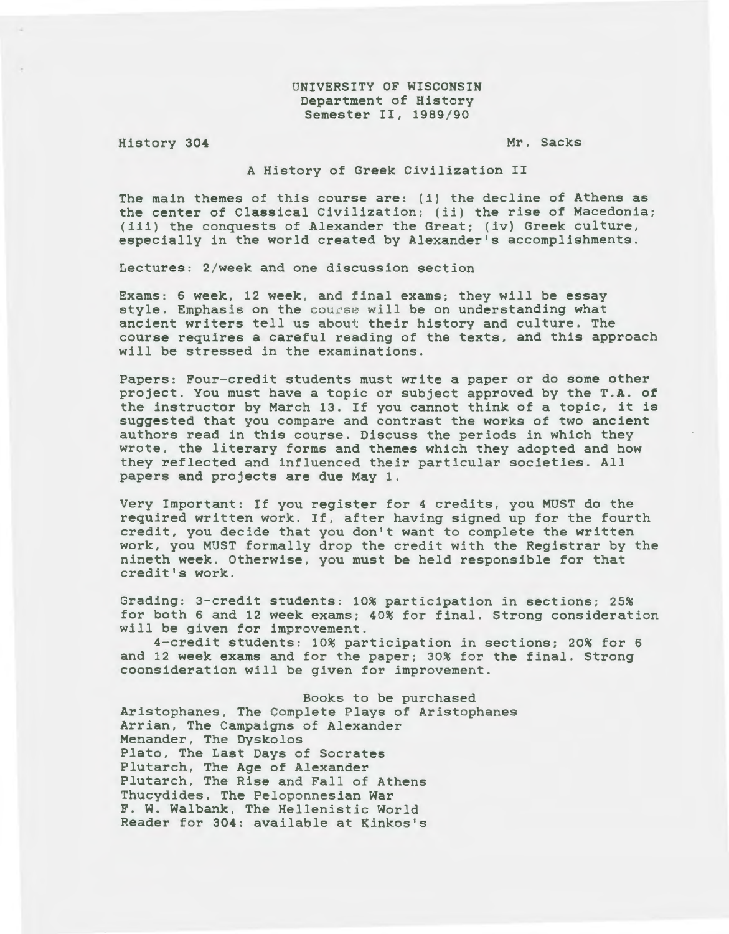UNIVERSITY OF WISCONSIN Department of History Semester II, 1989/90

History 304

Mr. Sacks

A History of Greek Civilization II

The main themes of this course are: (i) the decline of Athens as the center of Classical Civilization; (ii) the rise of Macedonia; (iii) the conquests of Alexander the Great; (iv) Greek culture, especially in the world created by Alexander's accomplishments.

Lectures: 2/week and one discussion section

Exams: 6 week, 12 week, and final exams; they will be essay style. Emphasis on the course will be on understanding what ancient writers tell us about their history and culture. The course requires a careful reading of the texts, and this approach will be stressed in the examinations.

Papers: Four-credit students must write a paper or do some other project. You must have a topic or subject approved by the T.A. of the instructor by March 13. If you cannot think of a topic, it *is*  suggested that you compare and contrast the works of two ancient authors read in this course. Discuss the periods *in* which they wrote, the literary forms and themes which they adopted and how they reflected and influenced their particular *societies.* All papers and projects are due May 1.

Very Important: If you register for 4 credits, you MUST do the required written work. If, after having signed up for the fourth credit, you decide that you don't want to complete the written work, you MUST formally drop the credit with the Registrar by the nineth week. Otherwise, you must be held responsible for that credit's work.

Grading: 3-credit students: 10% participation in sections; 25% for both 6 and 12 week exams; 40% for final. Strong consideration will be given for improvement.

4-credit students: 10% participation in sections; 20% for 6 and 12 week exams and for the paper; 30% for the final. Strong coonsideration will be given for improvement.

Books to be purchased Aristophanes, The Complete Plays of Aristophanes Arrian, The Campaigns of Alexander Menander, The Dyskolos Plato, The Last Days of Socrates Plutarch, The Age of Alexander Plutarch, The Rise and Fall of Athens Thucydides, The Peloponnesian War F. W. Walbank, The Hellenistic World Reader for 304: available at Kinkos's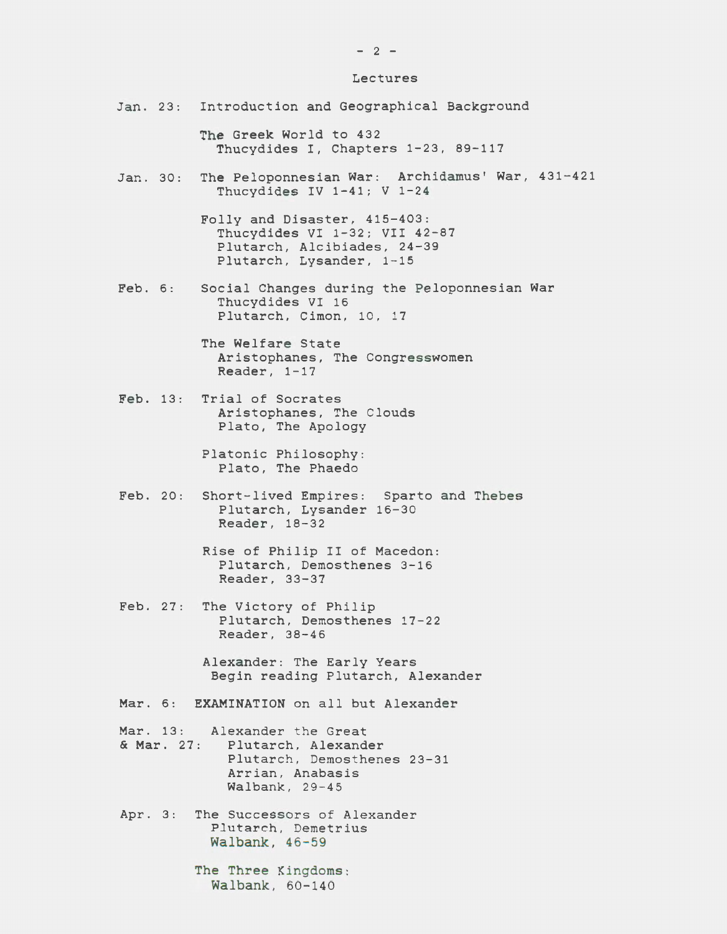## Lectures

|         |         | Jan. 23: Introduction and Geographical Background                                                                                   |
|---------|---------|-------------------------------------------------------------------------------------------------------------------------------------|
|         |         | The Greek World to 432<br>Thucydides I, Chapters 1-23, 89-117                                                                       |
|         |         | Jan. 30: The Peloponnesian War: Archidamus' War, 431-421<br>Thucydides IV $1-41$ ; V $1-24$                                         |
|         |         | Folly and Disaster, 415-403:<br>Thucydides VI 1-32; VII 42-87<br>Plutarch, Alcibiades, 24-39<br>Plutarch, Lysander, 1-15            |
| Feb. 6: |         | Social Changes during the Peloponnesian War<br>Thucydides VI 16<br>Plutarch, Cimon, 10, 17                                          |
|         |         | The Welfare State<br>Aristophanes, The Congresswomen<br>Reader, $1-17$                                                              |
|         |         | Feb. 13: Trial of Socrates<br>Aristophanes, The Clouds<br>Plato, The Apology                                                        |
|         |         | Platonic Philosophy:<br>Plato, The Phaedo                                                                                           |
|         |         | Feb. 20: Short-lived Empires: Sparto and Thebes<br>Plutarch, Lysander 16-30<br>Reader, 18-32                                        |
|         |         | Rise of Philip II of Macedon:<br>Plutarch, Demosthenes 3-16<br>Reader, 33-37                                                        |
|         |         | Feb. 27: The Victory of Philip<br>Plutarch, Demosthenes 17-22<br>Reader, 38-46                                                      |
|         |         | Alexander: The Early Years<br>Begin reading Plutarch, Alexander                                                                     |
|         |         | Mar. 6: EXAMINATION on all but Alexander                                                                                            |
|         |         | Mar. 13: Alexander the Great<br>& Mar. 27: Plutarch, Alexander<br>Plutarch, Demosthenes 23-31<br>Arrian, Anabasis<br>Walbank, 29-45 |
|         | Apr. 3: | The Successors of Alexander<br>Plutarch, Demetrius<br>Walbank, 46-59                                                                |
|         |         | The Three Kingdoms:<br>Walbank, 60-140                                                                                              |

 $- 2 -$